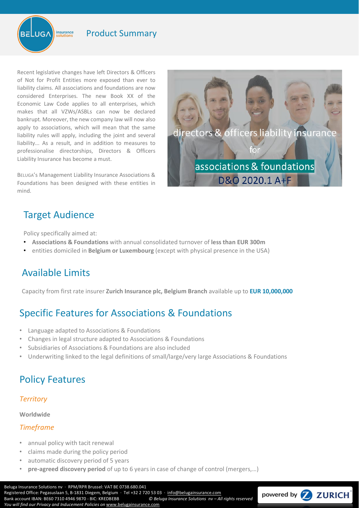

Product Summary

Recent legislative changes have left Directors & Officers of Not for Profit Entities more exposed than ever to liability claims. All associations and foundations are now considered Enterprises. The new Book XX of the Economic Law Code applies to all enterprises, which makes that all VZWs/ASBLs can now be declared bankrupt. Moreover, the new company law will now also apply to associations, which will mean that the same liability rules will apply, including the joint and several liability... As a result, and in addition to measures to professionalise directorships, Directors & Officers Liability Insurance has become a must.

BELUGA's Management Liability Insurance Associations & Foundations has been designed with these entities in mind.



## Target Audience

Policy specifically aimed at:

- **Associations & Foundations** with annual consolidated turnover of **less than EUR 300m**
- entities domiciled in **Belgium or Luxembourg** (except with physical presence in the USA)

## Available Limits

Capacity from first rate insurer **Zurich Insurance plc, Belgium Branch** available up to **EUR 10,000,000**

# Specific Features for Associations & Foundations

- Language adapted to Associations & Foundations
- Changes in legal structure adapted to Associations & Foundations
- Subsidiaries of Associations & Foundations are also included
- Underwriting linked to the legal definitions of small/large/very large Associations & Foundations

## Policy Features

### *Territory*

#### **Worldwide**

### *Timeframe*

- annual policy with tacit renewal
- claims made during the policy period
- automatic discovery period of 5 years
- **pre-agreed discovery period** of up to 6 years in case of change of control (mergers,…)

Beluga Insurance Solutions nv · RPM/RPR Brussel: VAT BE 0738.680.041 Registered Office: Pegasuslaan 5, B-1831 Diegem, Belgium · Tel +32 2 720 53 03 · [info@belugainsurance.com](mailto:info@belugainsurance.com) Bank account IBAN: BE60 7310 4946 9870 - BIC: KREDBEBB *© Beluga Insurance Solutions nv – All rights reserved You will find our Privacy and Inducement Policies on* [www.belugainsurance.com](http://www.belugainsurance.com/)

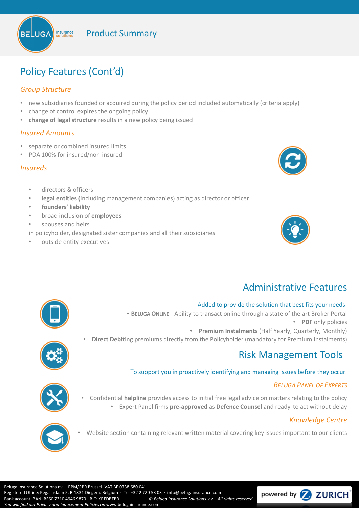

# Policy Features (Cont'd)

## *Group Structure*

- new subsidiaries founded or acquired during the policy period included automatically (criteria apply)
- change of control expires the ongoing policy
- **change of legal structure** results in a new policy being issued

### *Insured Amounts*

- separate or combined insured limits
- PDA 100% for insured/non-insured

### *Insureds*

- directors & officers
- **legal entities** (including management companies) acting as director or officer
- **founders' liability**
- broad inclusion of **employees**
- spouses and heirs
- in policyholder, designated sister companies and all their subsidiaries
- outside entity executives





## Administrative Features



### Added to provide the solution that best fits your needs.

• **BELUGA ONLINE** - Ability to transact online through a state of the art Broker Portal • **PDF** only policies • **Premium Instalments** (Half Yearly, Quarterly, Monthly) • **Direct Debit**ing premiums directly from the Policyholder (mandatory for Premium Instalments)



## Risk Management Tools

### To support you in proactively identifying and managing issues before they occur.

### *BELUGA PANEL OF EXPERTS*



• Confidential **helpline** provides access to initial free legal advice on matters relating to the policy • Expert Panel firms **pre-approved** as **Defence Counsel** and ready to act without delay

## *Knowledge Centre*

• Website section containing relevant written material covering key issues important to our clients